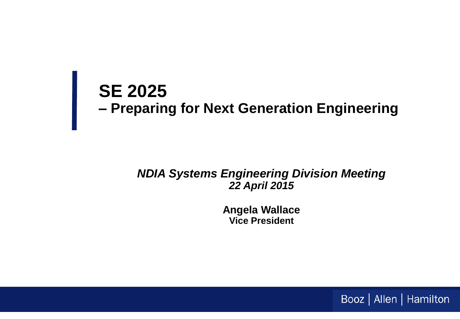# **SE 2025 – Preparing for Next Generation Engineering**

#### *NDIA Systems Engineering Division Meeting 22 April 2015*

**Angela Wallace Vice President**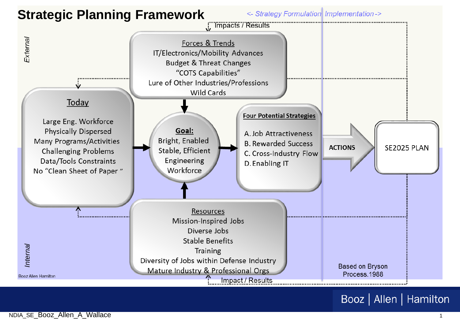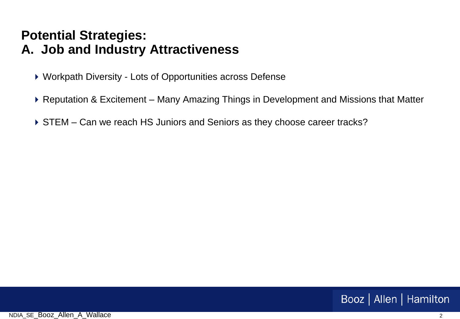### **Potential Strategies: A. Job and Industry Attractiveness**

- ▶ Workpath Diversity Lots of Opportunities across Defense
- ▶ Reputation & Excitement Many Amazing Things in Development and Missions that Matter
- ▶ STEM Can we reach HS Juniors and Seniors as they choose career tracks?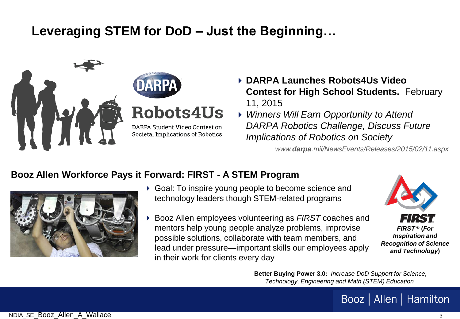## **Leveraging STEM for DoD – Just the Beginning…**



- **DARPA Launches Robots4Us Video Contest for High School Students.** February 11, 2015
- *Winners Will Earn Opportunity to Attend DARPA Robotics Challenge, Discuss Future Implications of Robotics on Society*

*www.darpa.mil/NewsEvents/Releases/2015/02/11.aspx*

#### **Booz Allen Workforce Pays it Forward: FIRST - A STEM Program**



- Goal: To inspire young people to become science and technology leaders though STEM-related programs
- Booz Allen employees volunteering as *FIRST* coaches and mentors help young people analyze problems, improvise possible solutions, collaborate with team members, and lead under pressure—important skills our employees apply in their work for clients every day



**Better Buying Power 3.0:** *Increase DoD Support for Science, Technology, Engineering and Math (STEM) Education*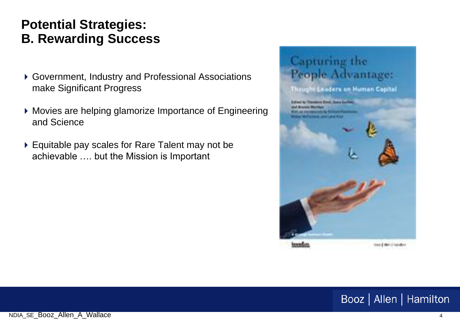## **Potential Strategies: B. Rewarding Success**

- Government, Industry and Professional Associations make Significant Progress
- Movies are helping glamorize Importance of Engineering and Science
- ▶ Equitable pay scales for Rare Talent may not be achievable …. but the Mission is Important

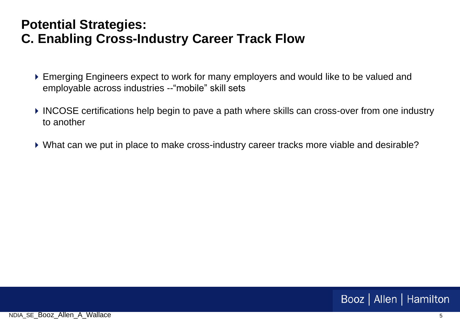#### **Potential Strategies: C. Enabling Cross-Industry Career Track Flow**

- Emerging Engineers expect to work for many employers and would like to be valued and employable across industries --"mobile" skill sets
- ▶ INCOSE certifications help begin to pave a path where skills can cross-over from one industry to another
- What can we put in place to make cross-industry career tracks more viable and desirable?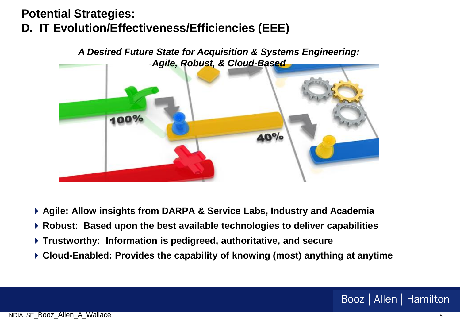## **Potential Strategies: D. IT Evolution/Effectiveness/Efficiencies (EEE)**



- **Agile: Allow insights from DARPA & Service Labs, Industry and Academia**
- **Robust: Based upon the best available technologies to deliver capabilities**
- **Trustworthy: Information is pedigreed, authoritative, and secure**
- **Cloud-Enabled: Provides the capability of knowing (most) anything at anytime**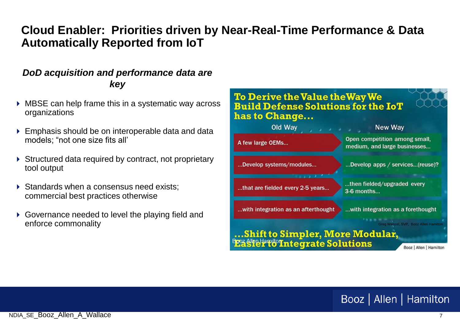#### **Cloud Enabler: Priorities driven by Near-Real-Time Performance & Data Automatically Reported from IoT**

#### *DoD acquisition and performance data are key*

- MBSE can help frame this in a systematic way across organizations
- Emphasis should be on interoperable data and data models; "not one size fits all'
- ▶ Structured data required by contract, not proprietary tool output
- $\triangleright$  Standards when a consensus need exists: commercial best practices otherwise
- ▶ Governance needed to level the playing field and

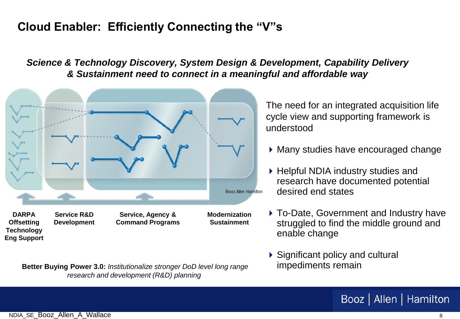#### **Cloud Enabler: Efficiently Connecting the "V"s**

*Science & Technology Discovery, System Design & Development, Capability Delivery & Sustainment need to connect in a meaningful and affordable way* 



**Better Buying Power 3.0:** *Institutionalize stronger DoD level long range research and development (R&D) planning* 

The need for an integrated acquisition life cycle view and supporting framework is understood

- Many studies have encouraged change
- ▶ Helpful NDIA industry studies and research have documented potential desired end states
- To-Date, Government and Industry have struggled to find the middle ground and enable change
- ▶ Significant policy and cultural impediments remain

#### Booz | Allen | Hamilton

**Eng Support**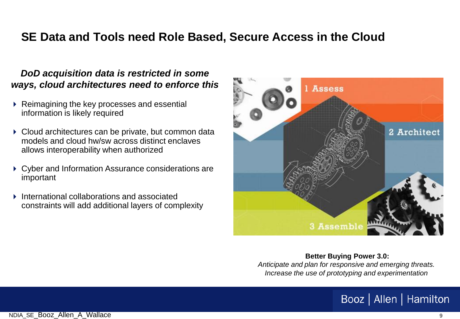#### **SE Data and Tools need Role Based, Secure Access in the Cloud**

#### *DoD acquisition data is restricted in some ways, cloud architectures need to enforce this*

- ▶ Reimagining the key processes and essential information is likely required
- ▶ Cloud architectures can be private, but common data models and cloud hw/sw across distinct enclaves allows interoperability when authorized
- Cyber and Information Assurance considerations are important
- International collaborations and associated constraints will add additional layers of complexity



**Better Buying Power 3.0:**  *Anticipate and plan for responsive and emerging threats. Increase the use of prototyping and experimentation*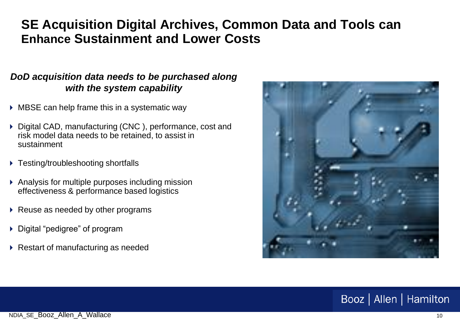## **SE Acquisition Digital Archives, Common Data and Tools can Enhance Sustainment and Lower Costs**

#### *DoD acquisition data needs to be purchased along with the system capability*

- MBSE can help frame this in a systematic way
- ▶ Digital CAD, manufacturing (CNC), performance, cost and risk model data needs to be retained, to assist in sustainment
- ▶ Testing/troubleshooting shortfalls
- Analysis for multiple purposes including mission effectiveness & performance based logistics
- $\triangleright$  Reuse as needed by other programs
- ▶ Digital "pedigree" of program
- ▶ Restart of manufacturing as needed

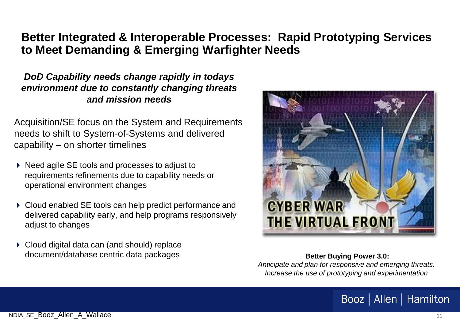#### **Better Integrated & Interoperable Processes: Rapid Prototyping Services to Meet Demanding & Emerging Warfighter Needs**

#### *DoD Capability needs change rapidly in todays environment due to constantly changing threats and mission needs*

Acquisition/SE focus on the System and Requirements needs to shift to System-of-Systems and delivered capability – on shorter timelines

- ▶ Need agile SE tools and processes to adjust to requirements refinements due to capability needs or operational environment changes
- ▶ Cloud enabled SE tools can help predict performance and delivered capability early, and help programs responsively adjust to changes
- ▶ Cloud digital data can (and should) replace document/database centric data packages **Better Buying Power 3.0: Better Buying Power 3.0:**



*Anticipate and plan for responsive and emerging threats. Increase the use of prototyping and experimentation*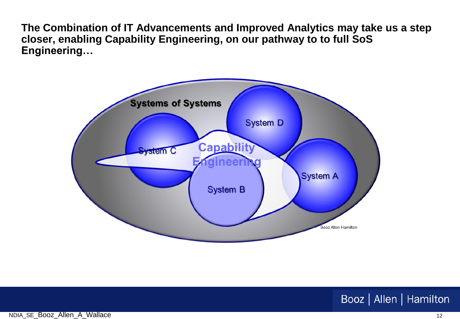**The Combination of IT Advancements and Improved Analytics may take us a step closer, enabling Capability Engineering, on our pathway to to full SoS Engineering…**

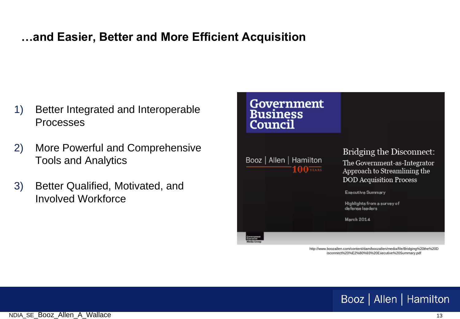#### **…and Easier, Better and More Efficient Acquisition**

- 1) Better Integrated and Interoperable Processes
- 2) More Powerful and Comprehensive Tools and Analytics
- 3) Better Qualified, Motivated, and Involved Workforce



http://www.boozallen.com/content/dam/boozallen/media/file/Bridging%20the%20D isconnect%20%E2%80%93%20Executive%20Summary.pdf